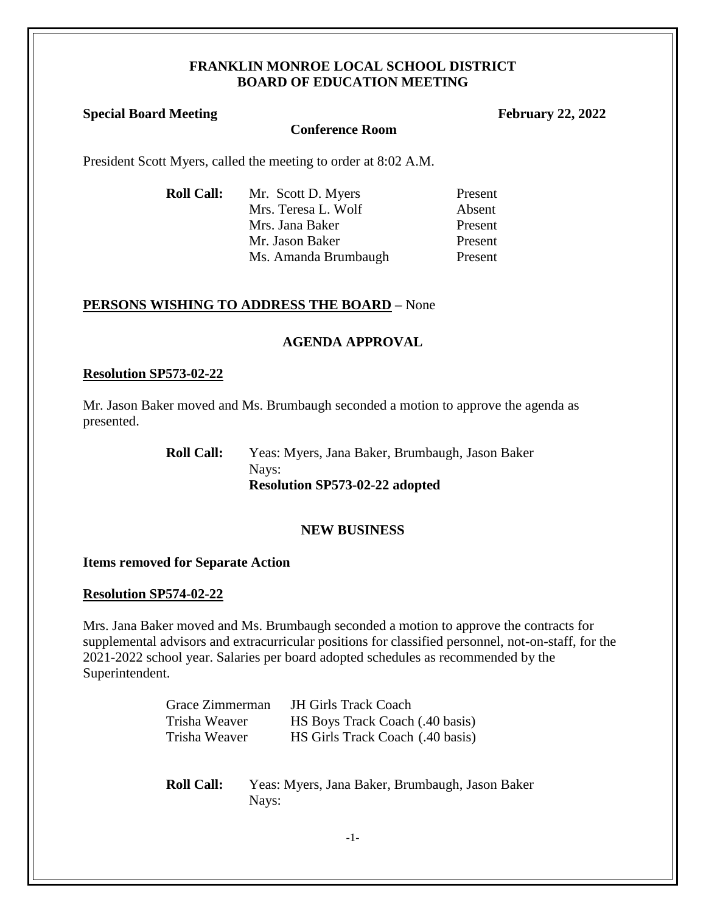#### **FRANKLIN MONROE LOCAL SCHOOL DISTRICT BOARD OF EDUCATION MEETING**

# **Special Board Meeting February 22, 2022**

#### **Conference Room**

President Scott Myers, called the meeting to order at 8:02 A.M.

| <b>Roll Call:</b> | Mr. Scott D. Myers   | Present |
|-------------------|----------------------|---------|
|                   | Mrs. Teresa L. Wolf  | Absent  |
|                   | Mrs. Jana Baker      | Present |
|                   | Mr. Jason Baker      | Present |
|                   | Ms. Amanda Brumbaugh | Present |

## **PERSONS WISHING TO ADDRESS THE BOARD –** None

## **AGENDA APPROVAL**

#### **Resolution SP573-02-22**

Mr. Jason Baker moved and Ms. Brumbaugh seconded a motion to approve the agenda as presented.

> **Roll Call:** Yeas: Myers, Jana Baker, Brumbaugh, Jason Baker Nays: **Resolution SP573-02-22 adopted**

### **NEW BUSINESS**

### **Items removed for Separate Action**

### **Resolution SP574-02-22**

Mrs. Jana Baker moved and Ms. Brumbaugh seconded a motion to approve the contracts for supplemental advisors and extracurricular positions for classified personnel, not-on-staff, for the 2021-2022 school year. Salaries per board adopted schedules as recommended by the Superintendent.

| Grace Zimmerman | <b>JH Girls Track Coach</b>      |
|-----------------|----------------------------------|
| Trisha Weaver   | HS Boys Track Coach (.40 basis)  |
| Trisha Weaver   | HS Girls Track Coach (.40 basis) |

**Roll Call:** Yeas: Myers, Jana Baker, Brumbaugh, Jason Baker Nays: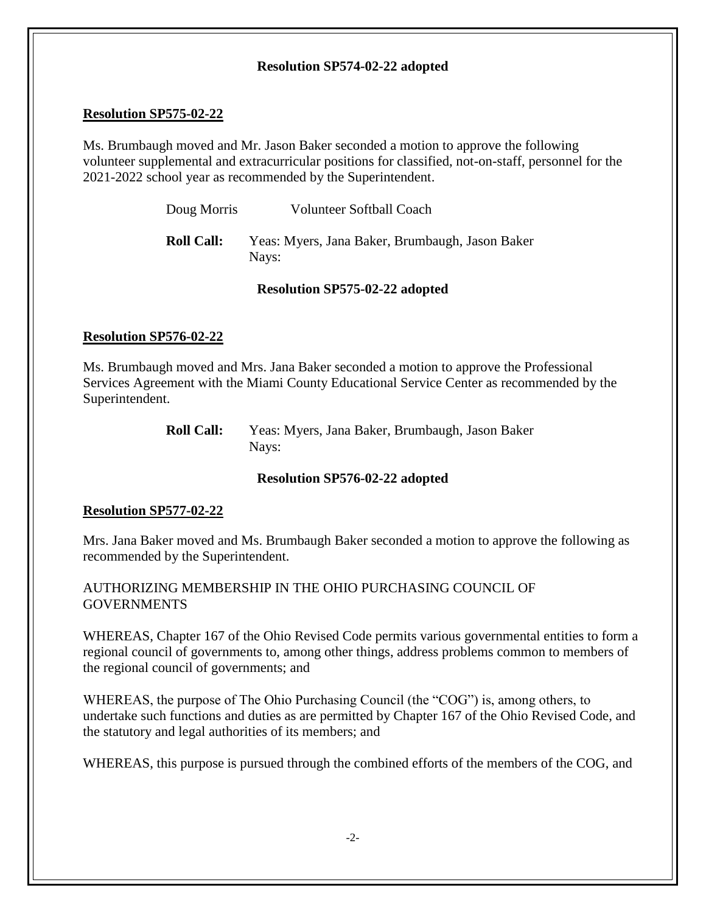## **Resolution SP574-02-22 adopted**

## **Resolution SP575-02-22**

Ms. Brumbaugh moved and Mr. Jason Baker seconded a motion to approve the following volunteer supplemental and extracurricular positions for classified, not-on-staff, personnel for the 2021-2022 school year as recommended by the Superintendent.

| Doug Morris       | <b>Volunteer Softball Coach</b>                          |
|-------------------|----------------------------------------------------------|
| <b>Roll Call:</b> | Yeas: Myers, Jana Baker, Brumbaugh, Jason Baker<br>Nays: |

## **Resolution SP575-02-22 adopted**

## **Resolution SP576-02-22**

Ms. Brumbaugh moved and Mrs. Jana Baker seconded a motion to approve the Professional Services Agreement with the Miami County Educational Service Center as recommended by the Superintendent.

| <b>Roll Call:</b> | Yeas: Myers, Jana Baker, Brumbaugh, Jason Baker |
|-------------------|-------------------------------------------------|
|                   | Nays:                                           |

### **Resolution SP576-02-22 adopted**

### **Resolution SP577-02-22**

Mrs. Jana Baker moved and Ms. Brumbaugh Baker seconded a motion to approve the following as recommended by the Superintendent.

## AUTHORIZING MEMBERSHIP IN THE OHIO PURCHASING COUNCIL OF **GOVERNMENTS**

WHEREAS, Chapter 167 of the Ohio Revised Code permits various governmental entities to form a regional council of governments to, among other things, address problems common to members of the regional council of governments; and

WHEREAS, the purpose of The Ohio Purchasing Council (the "COG") is, among others, to undertake such functions and duties as are permitted by Chapter 167 of the Ohio Revised Code, and the statutory and legal authorities of its members; and

WHEREAS, this purpose is pursued through the combined efforts of the members of the COG, and